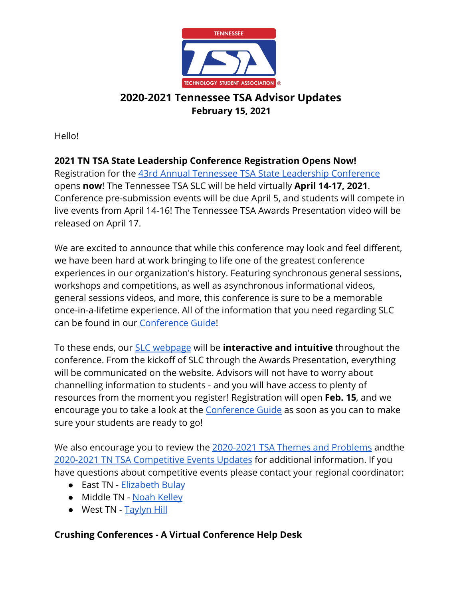

Hello!

#### **2021 TN TSA State Leadership Conference Registration Opens Now!**

Registration for the [43rd Annual Tennessee TSA State Leadership Conference](http://www.tntsa.org/state-conference.html) opens **now**! The Tennessee TSA SLC will be held virtually **April 14-17, 2021**. Conference pre-submission events will be due April 5, and students will compete in live events from April 14-16! The Tennessee TSA Awards Presentation video will be released on April 17.

We are excited to announce that while this conference may look and feel different, we have been hard at work bringing to life one of the greatest conference experiences in our organization's history. Featuring synchronous general sessions, workshops and competitions, as well as asynchronous informational videos, general sessions videos, and more, this conference is sure to be a memorable once-in-a-lifetime experience. All of the information that you need regarding SLC can be found in our [Conference Guide!](http://www.tntsa.org/uploads/5/2/5/4/5254437/2021_state_leadership_conference_guide.pdf)

To these ends, our [SLC webpage](http://www.tntsa.org/state-conference.html) will be **interactive and intuitive** throughout the conference. From the kickoff of SLC through the Awards Presentation, everything will be communicated on the website. Advisors will not have to worry about channelling information to students - and you will have access to plenty of resources from the moment you register! Registration will open **Feb. 15**, and we encourage you to take a look at the [Conference Guide](http://www.tntsa.org/uploads/5/2/5/4/5254437/2021_state_leadership_conference_guide.pdf) as soon as you can to make sure your students are ready to go!

We also encourage you to review the [2020-2021 TSA Themes and Problems](https://tsaweb.org/competitions-programs/tsa/themes-problems) and the [2020-2021 TN TSA Competitive Events Updates](http://www.tntsa.org/tn-tsa-competitive-events-updates.html) for additional information. If you have questions about competitive events please contact your regional coordinator:

- East TN - [Elizabeth Bulay](mailto:Elizabeth.Bulay@tntsa.org)
- Middle TN [Noah Kelley](mailto:Noah.Kelley@tntsa.org)
- West TN [Taylyn Hill](mailto:Taylyn.Hill@tntsa.org)

#### **Crushing Conferences - A Virtual Conference Help Desk**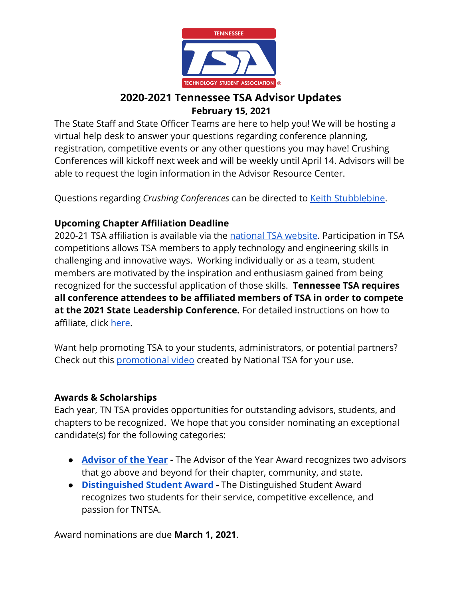

The State Staff and State Officer Teams are here to help you! We will be hosting a virtual help desk to answer your questions regarding conference planning, registration, competitive events or any other questions you may have! Crushing Conferences will kickoff next week and will be weekly until April 14. Advisors will be able to request the login information in the Advisor Resource Center.

Questions regarding *Crushing Conferences* can be directed to [Keith Stubblebine](mailto:keith.stubblebine@tntsa.org).

#### **Upcoming Chapter Affiliation Deadline**

2020-21 TSA affiliation is available via the [national TSA website](https://tsaweb.org/membership/affiliation-and-dues). Participation in TSA competitions allows TSA members to apply technology and engineering skills in challenging and innovative ways. Working individually or as a team, student members are motivated by the inspiration and enthusiasm gained from being recognized for the successful application of those skills.  **Tennessee TSA requires all conference attendees to be affiliated members of TSA in order to compete at the 2021 State Leadership Conference.** For detailed instructions on how to affiliate, click [here](http://www.tntsa.org/affiliation.html).

Want help promoting TSA to your students, administrators, or potential partners? Check out this [promotional video](https://vimeo.com/462743649) created by National TSA for your use.

#### **Awards & Scholarships**

Each year, TN TSA provides opportunities for outstanding advisors, students, and chapters to be recognized. We hope that you consider nominating an exceptional candidate(s) for the following categories:

- **[Advisor of the Year](https://tsaweb.org/resources/awards-and-scholarships) -** The Advisor of the Year Award recognizes two advisors that go above and beyond for their chapter, community, and state.
- **[Distinguished Student Award](http://www.tntsa.org/distinguished-student-award.html)** The Distinguished Student Award recognizes two students for their service, competitive excellence, and passion for TNTSA.

Award nominations are due **March 1, 2021**.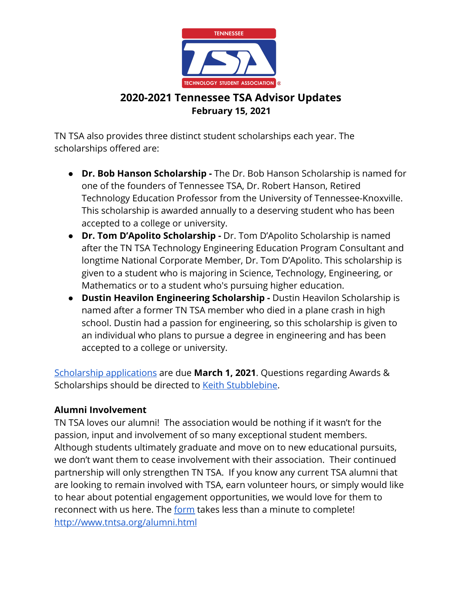

TN TSA also provides three distinct student scholarships each year. The scholarships offered are:

- **● Dr. Bob Hanson Scholarship** The Dr. Bob Hanson Scholarship is named for one of the founders of Tennessee TSA, Dr. Robert Hanson, Retired Technology Education Professor from the University of Tennessee-Knoxville. This scholarship is awarded annually to a deserving student who has been accepted to a college or university.
- **Dr. Tom D'Apolito Scholarship -** Dr. Tom D'Apolito Scholarship is named after the TN TSA Technology Engineering Education Program Consultant and longtime National Corporate Member, Dr. Tom D'Apolito. This scholarship is given to a student who is majoring in Science, Technology, Engineering, or Mathematics or to a student who's pursuing higher education.
- **● Dustin Heavilon Engineering Scholarship** Dustin Heavilon Scholarship is named after a former TN TSA member who died in a plane crash in high school. Dustin had a passion for engineering, so this scholarship is given to an individual who plans to pursue a degree in engineering and has been accepted to a college or university.

[Scholarship applications](http://www.tntsa.org/scholarship-application.html) are due **March 1, 2021**. Questions regarding Awards & Scholarships should be directed to [Keith Stubblebine](mailto:Keith.Stubblebine@tntsa.org).

#### **Alumni Involvement**

TN TSA loves our alumni! The association would be nothing if it wasn't for the passion, input and involvement of so many exceptional student members. Although students ultimately graduate and move on to new educational pursuits, we don't want them to cease involvement with their association. Their continued partnership will only strengthen TN TSA. If you know any current TSA alumni that are looking to remain involved with TSA, earn volunteer hours, or simply would like to hear about potential engagement opportunities, we would love for them to reconnect with us here. The [form](http://www.tntsa.org/alumni.html) takes less than a minute to complete! <http://www.tntsa.org/alumni.html>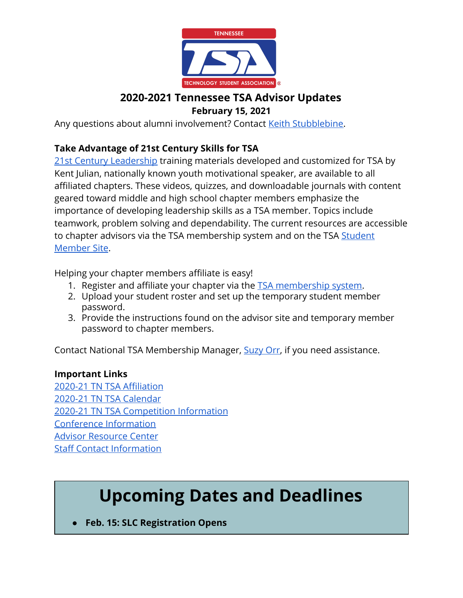

Any questions about alumni involvement? Contact [Keith Stubblebine](mailto:keith.stubblebine@tntsa.org).

### **Take Advantage of 21st Century Skills for TSA**

[21st Century Leadership](https://tsaweb.org/competitions-programs/leadership/leap-competition-engagement) training materials developed and customized for TSA by Kent Julian, nationally known youth motivational speaker, are available to all affiliated chapters. These videos, quizzes, and downloadable journals with content geared toward middle and high school chapter members emphasize the importance of developing leadership skills as a TSA member. Topics include teamwork, problem solving and dependability. The current resources are accessible to chapter advisors via the TSA membership system and on the TSA [Student](https://tsamembership.registermychapter.com/members#) [Member Site](https://tsamembership.registermychapter.com/members#).

Helping your chapter members affiliate is easy!

- 1. Register and affiliate your chapter via the [TSA membership system.](https://tsamembership.registermychapter.com/#)
- 2. Upload your student roster and set up the temporary student member password.
- 3. Provide the instructions found on the advisor site and temporary member password to chapter members.

Contact National TSA Membership Manager, [Suzy Orr](mailto:sorr@tsaweb.org), if you need assistance.

#### **Important Links**

[2020-21 TN TSA Affiliation](http://www.tntsa.org/affiliation.html) [2020-21 TN TSA Calendar](http://www.tntsa.org/calendar.html) [2020-21 TN TSA Competition Information](http://www.tntsa.org/competitive-events.html) [Conference Information](http://www.tntsa.org/conferences.html) [Advisor Resource Center](http://www.tntsa.org/advisor-resource-center.html) [Staff Contact Information](http://www.tntsa.org/staff.html)

# **Upcoming Dates and Deadlines**

**● Feb. 15: SLC Registration Opens**